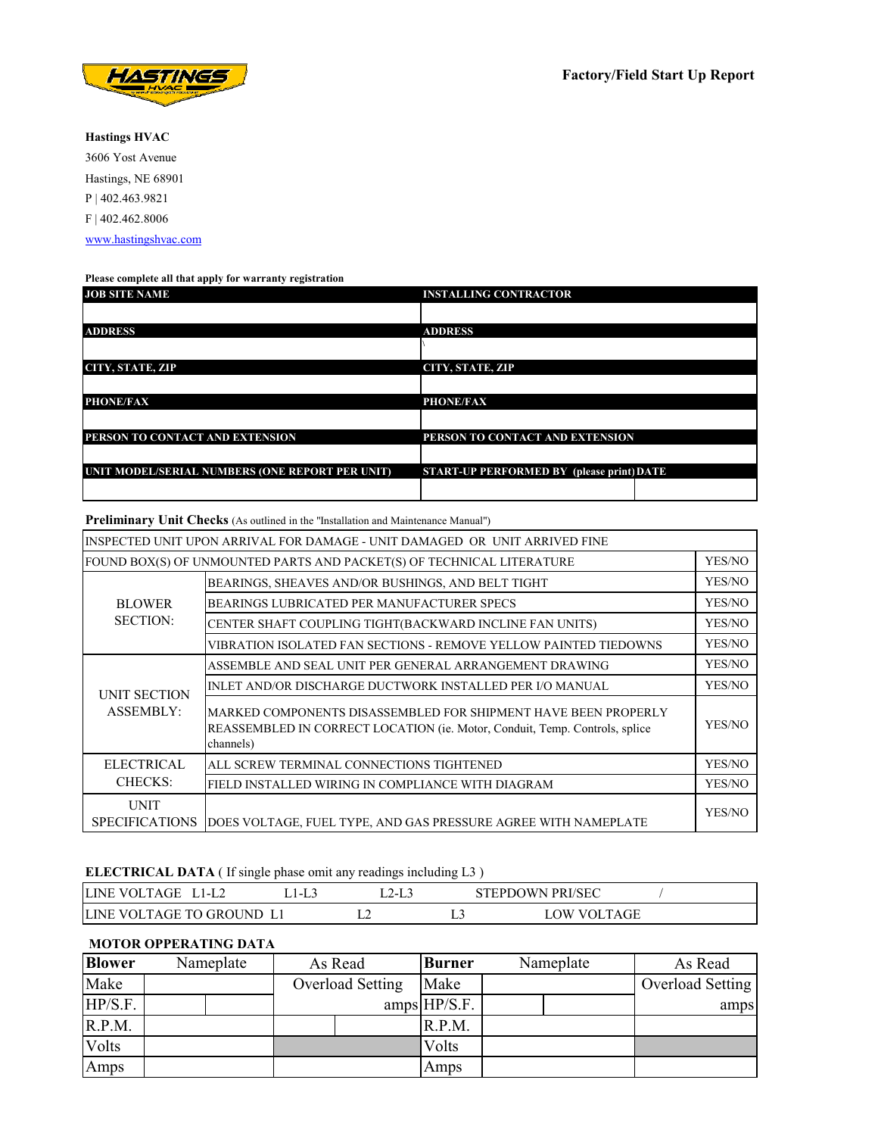

**Hastings HVAC** 3606 Yost Avenue Hastings, NE 68901 P | 402.463.9821 F | 402.462.8006 www.hastingshvac.com

#### **Please complete all that apply for warranty registration**

| <b>JOB SITE NAME</b>                            | <b>INSTALLING CONTRACTOR</b>              |
|-------------------------------------------------|-------------------------------------------|
|                                                 |                                           |
| <b>ADDRESS</b>                                  | <b>ADDRESS</b>                            |
|                                                 |                                           |
| <b>CITY, STATE, ZIP</b>                         | CITY, STATE, ZIP                          |
|                                                 |                                           |
| <b>PHONE/FAX</b>                                | <b>PHONE/FAX</b>                          |
|                                                 |                                           |
| PERSON TO CONTACT AND EXTENSION                 | PERSON TO CONTACT AND EXTENSION           |
|                                                 |                                           |
| UNIT MODEL/SERIAL NUMBERS (ONE REPORT PER UNIT) | START-UP PERFORMED BY (please print) DATE |
|                                                 |                                           |

**Preliminary Unit Checks** (As outlined in the "Installation and Maintenance Manual")

|                                      | INSPECTED UNIT UPON ARRIVAL FOR DAMAGE - UNIT DAMAGED OR UNIT ARRIVED FINE                                                                                 |        |
|--------------------------------------|------------------------------------------------------------------------------------------------------------------------------------------------------------|--------|
|                                      | FOUND BOX(S) OF UNMOUNTED PARTS AND PACKET(S) OF TECHNICAL LITERATURE                                                                                      | YES/NO |
|                                      | BEARINGS, SHEAVES AND/OR BUSHINGS, AND BELT TIGHT                                                                                                          | YES/NO |
| <b>BLOWER</b>                        | BEARINGS LUBRICATED PER MANUFACTURER SPECS                                                                                                                 | YES/NO |
| <b>SECTION:</b>                      | CENTER SHAFT COUPLING TIGHT(BACKWARD INCLINE FAN UNITS)                                                                                                    | YES/NO |
|                                      | VIBRATION ISOLATED FAN SECTIONS - REMOVE YELLOW PAINTED TIEDOWNS                                                                                           | YES/NO |
|                                      | ASSEMBLE AND SEAL UNIT PER GENERAL ARRANGEMENT DRAWING                                                                                                     | YES/NO |
| <b>UNIT SECTION</b>                  | INLET AND/OR DISCHARGE DUCTWORK INSTALLED PER I/O MANUAL                                                                                                   | YES/NO |
| <b>ASSEMBLY:</b>                     | MARKED COMPONENTS DISASSEMBLED FOR SHIPMENT HAVE BEEN PROPERLY<br>REASSEMBLED IN CORRECT LOCATION (ie. Motor, Conduit, Temp. Controls, splice<br>channels) | YES/NO |
| <b>ELECTRICAL</b>                    | ALL SCREW TERMINAL CONNECTIONS TIGHTENED                                                                                                                   | YES/NO |
| <b>CHECKS:</b>                       | FIELD INSTALLED WIRING IN COMPLIANCE WITH DIAGRAM                                                                                                          | YES/NO |
| <b>UNIT</b><br><b>SPECIFICATIONS</b> | DOES VOLTAGE, FUEL TYPE, AND GAS PRESSURE AGREE WITH NAMEPLATE                                                                                             | YES/NO |

### **ELECTRICAL DATA** ( If single phase omit any readings including L3 )

| <b>LINE</b><br>TAGE<br>VOL.<br>≒l-L∠              |   |    | EPDOWN PRI/SEC<br><b>FPD</b> |  |
|---------------------------------------------------|---|----|------------------------------|--|
| <b>LINE</b><br>TAGF<br>TO GRO<br>IND<br>м<br>V(1) | . | -- | <b>TAGE</b><br>W<br>VOL.     |  |

#### **MOTOR OPPERATING DATA**

| <b>Blower</b> | Nameplate | As Read          | <b>Burner</b>  | Nameplate | As Read          |
|---------------|-----------|------------------|----------------|-----------|------------------|
| Make          |           | Overload Setting | Make           |           | Overload Setting |
| HP/S.F.       |           |                  | $amps$ HP/S.F. |           | amps             |
| R.P.M.        |           |                  | R.P.M.         |           |                  |
| Volts         |           |                  | Volts          |           |                  |
| Amps          |           |                  | Amps           |           |                  |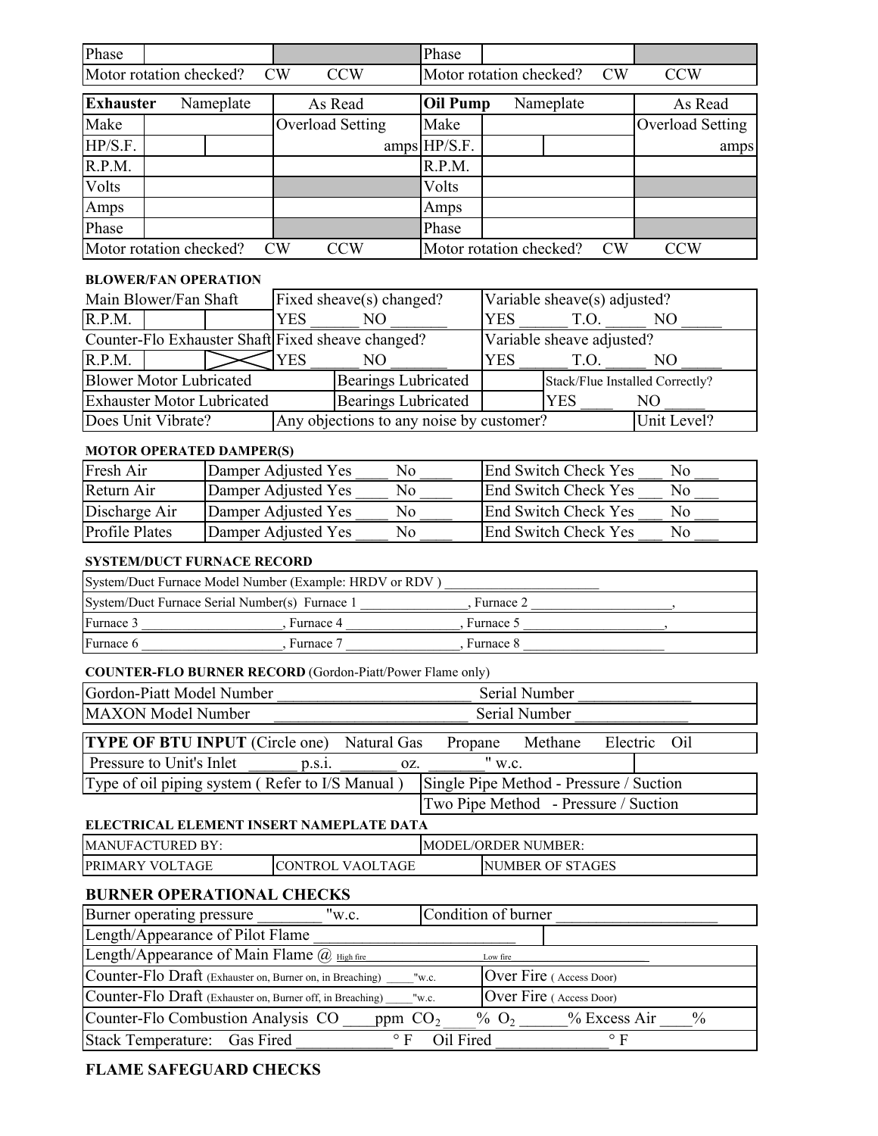| Phase            |                                |                                                            |                  |                                                                  | Phase           |                              |                                         |                         |
|------------------|--------------------------------|------------------------------------------------------------|------------------|------------------------------------------------------------------|-----------------|------------------------------|-----------------------------------------|-------------------------|
|                  | Motor rotation checked?        |                                                            | CW               | <b>CCW</b>                                                       |                 | Motor rotation checked?      | CW                                      | <b>CCW</b>              |
| <b>Exhauster</b> |                                | Nameplate                                                  |                  | As Read                                                          | <b>Oil Pump</b> |                              | Nameplate                               | As Read                 |
| Make             |                                |                                                            | Overload Setting |                                                                  | Make            |                              |                                         | <b>Overload Setting</b> |
| HP/S.F.          |                                |                                                            |                  |                                                                  | amps HP/S.F.    |                              |                                         | amps                    |
| R.P.M.           |                                |                                                            |                  |                                                                  | R.P.M.          |                              |                                         |                         |
| Volts            |                                |                                                            |                  |                                                                  | Volts           |                              |                                         |                         |
| Amps             |                                |                                                            |                  |                                                                  | Amps            |                              |                                         |                         |
| Phase            |                                |                                                            |                  |                                                                  | Phase           |                              |                                         |                         |
|                  | Motor rotation checked?        |                                                            | CW               | <b>CCW</b>                                                       |                 | Motor rotation checked?      | CW                                      | <b>CCW</b>              |
|                  | <b>BLOWER/FAN OPERATION</b>    |                                                            |                  |                                                                  |                 |                              |                                         |                         |
|                  | Main Blower/Fan Shaft          |                                                            |                  | Fixed sheave(s) changed?                                         |                 |                              | Variable sheave(s) adjusted?            |                         |
| R.P.M.           |                                |                                                            | <b>YES</b>       | NO                                                               |                 | <b>YES</b>                   | T.O.                                    | N <sub>O</sub>          |
|                  |                                |                                                            |                  | Counter-Flo Exhauster Shaft Fixed sheave changed?                |                 |                              | Variable sheave adjusted?               |                         |
| R.P.M.           |                                |                                                            | <b>YES</b>       | NO                                                               |                 | <b>YES</b>                   | T.O.                                    | N <sub>O</sub>          |
|                  | <b>Blower Motor Lubricated</b> |                                                            |                  | <b>Bearings Lubricated</b>                                       |                 |                              | Stack/Flue Installed Correctly?         |                         |
|                  |                                | <b>Exhauster Motor Lubricated</b>                          |                  | <b>Bearings Lubricated</b>                                       |                 |                              | <b>YES</b>                              | N <sub>O</sub>          |
|                  | Does Unit Vibrate?             |                                                            |                  | Any objections to any noise by customer?                         |                 |                              |                                         | Unit Level?             |
|                  |                                | <b>MOTOR OPERATED DAMPER(S)</b>                            |                  |                                                                  |                 |                              |                                         |                         |
| Fresh Air        |                                | Damper Adjusted Yes                                        |                  | N <sub>o</sub>                                                   |                 |                              | <b>End Switch Check Yes</b>             | No                      |
| Return Air       |                                | Damper Adjusted Yes                                        |                  | No                                                               |                 |                              | <b>End Switch Check Yes</b>             | No                      |
| Discharge Air    |                                | Damper Adjusted Yes                                        |                  | No                                                               |                 |                              | <b>End Switch Check Yes</b>             | No                      |
| Profile Plates   |                                | Damper Adjusted Yes                                        |                  | No                                                               |                 |                              | End Switch Check Yes                    | No                      |
|                  |                                | <b>SYSTEM/DUCT FURNACE RECORD</b>                          |                  |                                                                  |                 |                              |                                         |                         |
|                  |                                |                                                            |                  | System/Duct Furnace Model Number (Example: HRDV or RDV)          |                 |                              |                                         |                         |
|                  |                                | System/Duct Furnace Serial Number(s) Furnace 1             |                  |                                                                  |                 | , Furnace 2                  |                                         |                         |
| Furnace 3        |                                |                                                            | , Furnace 4      |                                                                  |                 | , Furnace 5                  |                                         |                         |
| Furnace 6        |                                |                                                            | , Furnace 7      |                                                                  |                 | , Furnace 8                  |                                         |                         |
|                  |                                |                                                            |                  | <b>COUNTER-FLO BURNER RECORD</b> (Gordon-Piatt/Power Flame only) |                 |                              |                                         |                         |
|                  |                                | Gordon-Piatt Model Number                                  |                  |                                                                  |                 | Serial Number                |                                         |                         |
|                  | <b>MAXON</b> Model Number      |                                                            |                  |                                                                  |                 | Serial Number                |                                         |                         |
|                  |                                | <b>TYPE OF BTU INPUT</b> (Circle one)                      |                  | Natural Gas                                                      | Propane         |                              | Methane<br>Electric                     | Oil                     |
|                  | Pressure to Unit's Inlet       |                                                            | p.s.i.           | oz.                                                              |                 | $\overline{\mathbf{v}}$ w.c. |                                         |                         |
|                  |                                |                                                            |                  | Type of oil piping system (Refer to I/S Manual)                  |                 |                              | Single Pipe Method - Pressure / Suction |                         |
|                  |                                |                                                            |                  |                                                                  |                 |                              | Two Pipe Method - Pressure / Suction    |                         |
|                  |                                |                                                            |                  | ELECTRICAL ELEMENT INSERT NAMEPLATE DATA                         |                 |                              |                                         |                         |
|                  | <b>MANUFACTURED BY:</b>        |                                                            |                  |                                                                  |                 | <b>MODEL/ORDER NUMBER:</b>   |                                         |                         |
|                  | PRIMARY VOLTAGE                |                                                            |                  | CONTROL VAOLTAGE                                                 |                 |                              | NUMBER OF STAGES                        |                         |
|                  |                                | <b>BURNER OPERATIONAL CHECKS</b>                           |                  |                                                                  |                 |                              |                                         |                         |
|                  | Burner operating pressure      |                                                            |                  | "w.c.                                                            |                 | Condition of burner          |                                         |                         |
|                  |                                | Length/Appearance of Pilot Flame                           |                  |                                                                  |                 |                              |                                         |                         |
|                  |                                | Length/Appearance of Main Flame @ High fire                |                  |                                                                  |                 | Low fire                     |                                         |                         |
|                  |                                | Counter-Flo Draft (Exhauster on, Burner on, in Breaching)  |                  |                                                                  | "w.c.           |                              | Over Fire (Access Door)                 |                         |
|                  |                                | Counter-Flo Draft (Exhauster on, Burner off, in Breaching) |                  |                                                                  | "w.c.           |                              | Over Fire (Access Door)                 |                         |
|                  |                                | Counter-Flo Combustion Analysis CO                         |                  | ppm $CO2$                                                        |                 | $\%$ O <sub>2</sub>          | % Excess Air                            | $\frac{0}{0}$           |
|                  | <b>Stack Temperature:</b>      | Gas Fired                                                  |                  | $\circ$ F                                                        | Oil Fired       |                              | $\circ$ F                               |                         |

### **FLAME SAFEGUARD CHECKS**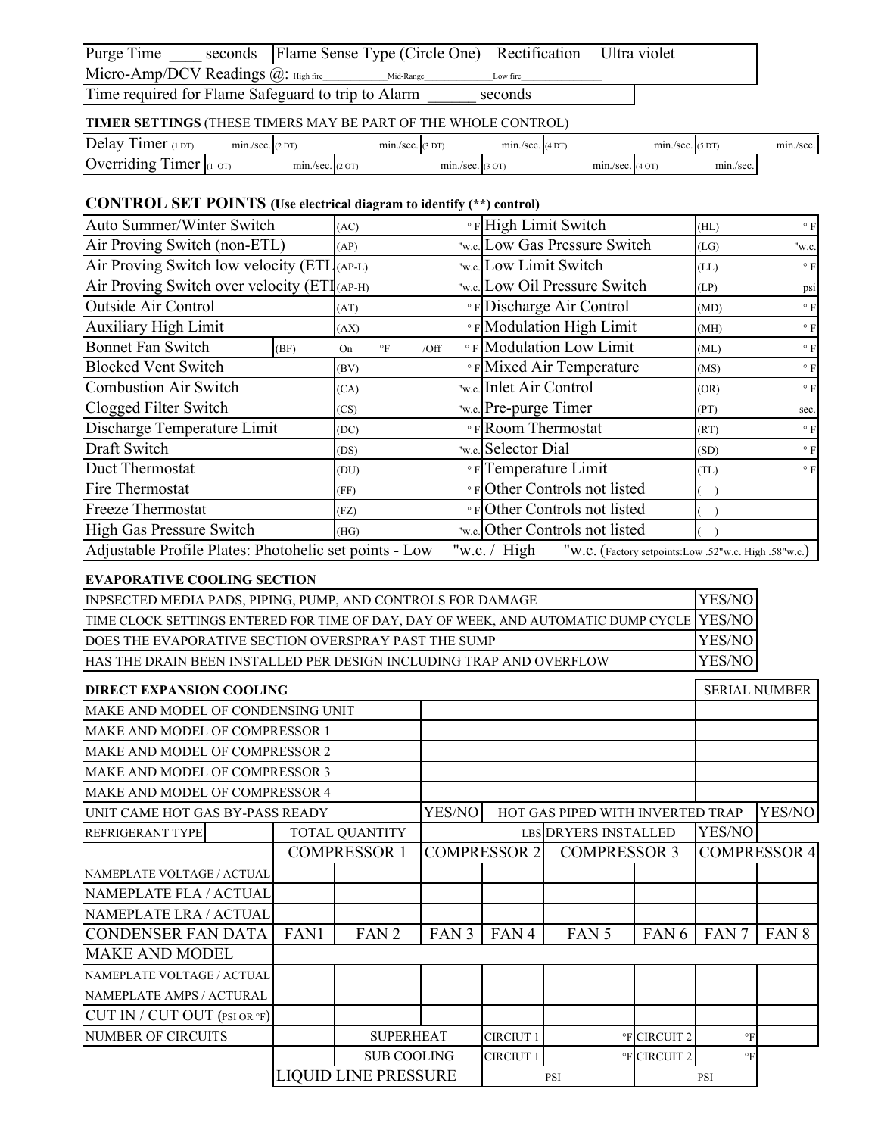| Purge Time                                         |  | seconds Flame Sense Type (Circle One) Rectification Ultra violet |          |  |
|----------------------------------------------------|--|------------------------------------------------------------------|----------|--|
| Micro-Amp/DCV Readings @: High fire                |  | Mid-Range                                                        | Low fire |  |
| Time required for Flame Safeguard to trip to Alarm |  |                                                                  | seconds  |  |

## **TIMER SETTINGS** (THESE TIMERS MAY BE PART OF THE WHOLE CONTROL)

| Delay<br>imer<br>1DT <sub>1</sub>                                             | min./sec. (2DT)                    |                    | $mn./sec.$ (3 DT) |                   | $min./sec.$ (4 DT |                   | min./sec. | (5DT)     | min./sec. |
|-------------------------------------------------------------------------------|------------------------------------|--------------------|-------------------|-------------------|-------------------|-------------------|-----------|-----------|-----------|
| . .<br>$\overline{\phantom{a}}$<br>$\mathsf{IC}$<br>imer<br><b>Jverriding</b> | $\overline{or}$<br>$\mathbf{I}(1)$ | $min./sec.$ (2 OT) |                   | $min/sec.$ (3 OT) |                   | $min/sec.$ (4 OT) |           | min./sec. |           |

## **CONTROL SET POINTS (Use electrical diagram to identify (\*\*) control)**

| Auto Summer/Winter Switch                              |                                      | (AC) |                                     |  | <b>PHigh Limit Switch</b>                                              | (HL) | $\circ$ F    |
|--------------------------------------------------------|--------------------------------------|------|-------------------------------------|--|------------------------------------------------------------------------|------|--------------|
|                                                        | Air Proving Switch (non-ETL)<br>(AP) |      |                                     |  | "w.c. Low Gas Pressure Switch                                          | (LG) | "w.c.        |
| Air Proving Switch low velocity $(ETL_{(AP-L)})$       |                                      |      |                                     |  | "w.c. Low Limit Switch                                                 | (LL) | $\circ$ F    |
| Air Proving Switch over velocity (ETI (AP-H)           |                                      |      |                                     |  | "w.c. Low Oil Pressure Switch                                          | (LP) | psi          |
| <b>Outside Air Control</b>                             |                                      | (AT) |                                     |  | <b>PED</b> ischarge Air Control                                        | (MD) | $^{\circ}$ F |
| <b>Auxiliary High Limit</b>                            |                                      | (AX) |                                     |  | <b>EXECUTE:</b> Modulation High Limit                                  | (MH) | $^{\circ}$ F |
| <b>Bonnet Fan Switch</b>                               | (BF)                                 | On   | $\circ$ F<br>/Off                   |  | <b>EXECUTE:</b> Modulation Low Limit                                   | (ML) | $\circ$ F    |
| <b>Blocked Vent Switch</b>                             |                                      | (BV) |                                     |  | <b>PRINITY Nixed Air Temperature</b>                                   | (MS) | $\circ$ F    |
| <b>Combustion Air Switch</b>                           |                                      | (CA) |                                     |  | "w.c. Inlet Air Control                                                | (OR) | $\circ$ F    |
| Clogged Filter Switch                                  |                                      | (CS) |                                     |  | "w.c. Pre-purge Timer                                                  | (PT) | sec.         |
| Discharge Temperature Limit                            |                                      | (DC) |                                     |  | • F Room Thermostat                                                    | (RT) | $\circ$ F    |
| Draft Switch                                           |                                      | (DS) |                                     |  | "w.c. Selector Dial                                                    | (SD) | $\circ$ F    |
| Duct Thermostat                                        |                                      | (DU) |                                     |  | • F Temperature Limit                                                  | (TL) | $\circ$ F    |
| Fire Thermostat                                        |                                      | (FF) |                                     |  | • FOther Controls not listed                                           |      |              |
| <b>Freeze Thermostat</b>                               |                                      |      | °FOther Controls not listed<br>(FZ) |  |                                                                        |      |              |
| High Gas Pressure Switch                               |                                      | (HG) |                                     |  | "w.c. Other Controls not listed                                        |      |              |
| Adjustable Profile Plates: Photohelic set points - Low |                                      |      |                                     |  | "w.c. $/$ High<br>"W.C. (Factory setpoints:Low .52"w.c. High .58"w.c.) |      |              |

### **EVAPORATIVE COOLING SECTION**

| TIME CLOCK SETTINGS ENTERED FOR TIME OF DAY, DAY OF WEEK, AND AUTOMATIC DUMP CYCLE YES/NO<br>DOES THE EVAPORATIVE SECTION OVERSPRAY PAST THE SUMP |        |
|---------------------------------------------------------------------------------------------------------------------------------------------------|--------|
|                                                                                                                                                   |        |
|                                                                                                                                                   | YES/NO |
| HAS THE DRAIN BEEN INSTALLED PER DESIGN INCLUDING TRAP AND OVERFLOW                                                                               | YES/NO |

| <b>DIRECT EXPANSION COOLING</b>           |               |                             |                                  |                     |                      |                  |                  | <b>SERIAL NUMBER</b> |
|-------------------------------------------|---------------|-----------------------------|----------------------------------|---------------------|----------------------|------------------|------------------|----------------------|
| MAKE AND MODEL OF CONDENSING UNIT         |               |                             |                                  |                     |                      |                  |                  |                      |
| MAKE AND MODEL OF COMPRESSOR 1            |               |                             |                                  |                     |                      |                  |                  |                      |
| MAKE AND MODEL OF COMPRESSOR 2            |               |                             |                                  |                     |                      |                  |                  |                      |
| MAKE AND MODEL OF COMPRESSOR 3            |               |                             |                                  |                     |                      |                  |                  |                      |
| MAKE AND MODEL OF COMPRESSOR 4            |               |                             |                                  |                     |                      |                  |                  |                      |
| UNIT CAME HOT GAS BY-PASS READY           | <b>YES/NO</b> |                             | HOT GAS PIPED WITH INVERTED TRAP |                     |                      | YES/NO           |                  |                      |
| <b>TOTAL QUANTITY</b><br>REFRIGERANT TYPE |               |                             |                                  |                     | LBS DRYERS INSTALLED |                  | YES/NO           |                      |
|                                           |               | <b>COMPRESSOR 1</b>         |                                  | <b>COMPRESSOR 2</b> | <b>COMPRESSOR 3</b>  |                  |                  | <b>COMPRESSOR 4</b>  |
| NAMEPLATE VOLTAGE / ACTUAL                |               |                             |                                  |                     |                      |                  |                  |                      |
| NAMEPLATE FLA / ACTUAL                    |               |                             |                                  |                     |                      |                  |                  |                      |
| NAMEPLATE LRA / ACTUAL                    |               |                             |                                  |                     |                      |                  |                  |                      |
| <b>CONDENSER FAN DATA</b>                 | FAN1          | FAN <sub>2</sub>            | FAN <sub>3</sub>                 | FAN <sub>4</sub>    | FAN 5                | FAN <sub>6</sub> | FAN <sub>7</sub> | FAN <sub>8</sub>     |
| <b>MAKE AND MODEL</b>                     |               |                             |                                  |                     |                      |                  |                  |                      |
| NAMEPLATE VOLTAGE / ACTUAL                |               |                             |                                  |                     |                      |                  |                  |                      |
| NAMEPLATE AMPS / ACTURAL                  |               |                             |                                  |                     |                      |                  |                  |                      |
| CUT IN / CUT OUT (PSI OR °F)              |               |                             |                                  |                     |                      |                  |                  |                      |
| <b>NUMBER OF CIRCUITS</b>                 |               | <b>SUPERHEAT</b>            |                                  | <b>CIRCIUT 1</b>    |                      | °F CIRCUIT 2     | $\circ$ F        |                      |
|                                           |               | <b>SUB COOLING</b>          |                                  | <b>CIRCIUT 1</b>    |                      | °F CIRCUIT 2     | $\circ$ F        |                      |
|                                           |               | <b>LIQUID LINE PRESSURE</b> |                                  |                     | <b>PSI</b>           |                  | <b>PSI</b>       |                      |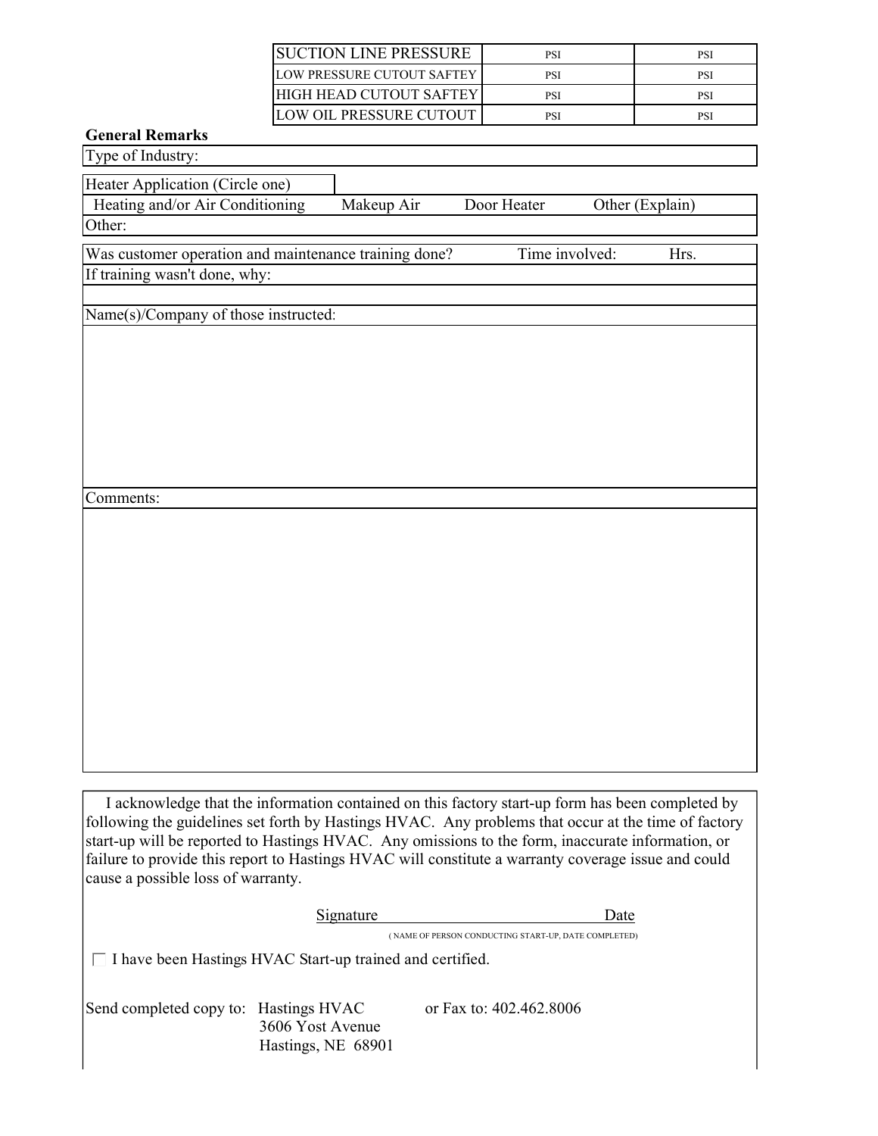| ISUCTION LINE PRESSURE     | PSI | PSI |
|----------------------------|-----|-----|
| LOW PRESSURE CUTOUT SAFTEY | PSI | PSI |
| IHIGH HEAD CUTOUT SAFTEY   | PSI | PSI |
| ILOW OIL PRESSURE CUTOUT   | PSI | PSI |

# **General Remarks**

| Type of Industry:                                                                                                                                                                                                                                                                                            |
|--------------------------------------------------------------------------------------------------------------------------------------------------------------------------------------------------------------------------------------------------------------------------------------------------------------|
| Heater Application (Circle one)                                                                                                                                                                                                                                                                              |
| Heating and/or Air Conditioning<br>Makeup Air<br>Door Heater<br>Other (Explain)                                                                                                                                                                                                                              |
| Other:                                                                                                                                                                                                                                                                                                       |
| Was customer operation and maintenance training done?<br>Time involved:<br>Hrs.                                                                                                                                                                                                                              |
| If training wasn't done, why:                                                                                                                                                                                                                                                                                |
|                                                                                                                                                                                                                                                                                                              |
| Name(s)/Company of those instructed:                                                                                                                                                                                                                                                                         |
|                                                                                                                                                                                                                                                                                                              |
|                                                                                                                                                                                                                                                                                                              |
|                                                                                                                                                                                                                                                                                                              |
|                                                                                                                                                                                                                                                                                                              |
|                                                                                                                                                                                                                                                                                                              |
|                                                                                                                                                                                                                                                                                                              |
|                                                                                                                                                                                                                                                                                                              |
| Comments:                                                                                                                                                                                                                                                                                                    |
|                                                                                                                                                                                                                                                                                                              |
|                                                                                                                                                                                                                                                                                                              |
|                                                                                                                                                                                                                                                                                                              |
|                                                                                                                                                                                                                                                                                                              |
|                                                                                                                                                                                                                                                                                                              |
|                                                                                                                                                                                                                                                                                                              |
|                                                                                                                                                                                                                                                                                                              |
|                                                                                                                                                                                                                                                                                                              |
|                                                                                                                                                                                                                                                                                                              |
|                                                                                                                                                                                                                                                                                                              |
|                                                                                                                                                                                                                                                                                                              |
|                                                                                                                                                                                                                                                                                                              |
|                                                                                                                                                                                                                                                                                                              |
| I acknowledge that the information contained on this factory start-up form has been completed by<br>following the guidelines set forth by Hastings HVAC. Any problems that occur at the time of factory<br>start-up will be reported to Hastings HVAC. Any omissions to the form, inaccurate information, or |
| failure to provide this report to Hastings HVAC will constitute a warranty coverage issue and could<br>cause a possible loss of warranty.                                                                                                                                                                    |
| <b>Signature</b><br>Date                                                                                                                                                                                                                                                                                     |
| (NAME OF PERSON CONDUCTING START-UP, DATE COMPLETED)                                                                                                                                                                                                                                                         |
| □ I have been Hastings HVAC Start-up trained and certified.                                                                                                                                                                                                                                                  |
|                                                                                                                                                                                                                                                                                                              |
| or Fax to: 402.462.8006<br>Send completed copy to: Hastings HVAC                                                                                                                                                                                                                                             |

3606 Yost Avenue Hastings, NE 68901